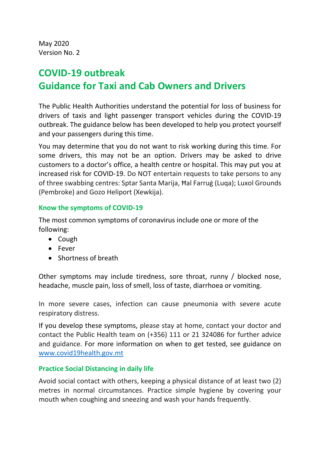May 2020 Version No. 2

# **COVID-19 outbreak Guidance for Taxi and Cab Owners and Drivers**

The Public Health Authorities understand the potential for loss of business for drivers of taxis and light passenger transport vehicles during the COVID-19 outbreak. The guidance below has been developed to help you protect yourself and your passengers during this time.

You may determine that you do not want to risk working during this time. For some drivers, this may not be an option. Drivers may be asked to drive customers to a doctor's office, a health centre or hospital. This may put you at increased risk for COVID-19. Do NOT entertain requests to take persons to any of three swabbing centres: Sptar Santa Marija, Ħal Farruġ (Luqa); Luxol Grounds (Pembroke) and Gozo Heliport (Xewkija).

### **Know the symptoms of COVID-19**

The most common symptoms of coronavirus include one or more of the following:

- Cough
- Fever
- Shortness of breath

Other symptoms may include tiredness, sore throat, runny / blocked nose, headache, muscle pain, loss of smell, loss of taste, diarrhoea or vomiting.

In more severe cases, infection can cause pneumonia with severe acute respiratory distress.

If you develop these symptoms, please stay at home, contact your doctor and contact the Public Health team on (+356) 111 or 21 324086 for further advice and guidance. For more information on when to get tested, see guidance on [www.covid19health.gov.mt](http://www.covid19health.gov.mt/)

### **Practice Social Distancing in daily life**

Avoid social contact with others, keeping a physical distance of at least two (2) metres in normal circumstances. Practice simple hygiene by covering your mouth when coughing and sneezing and wash your hands frequently.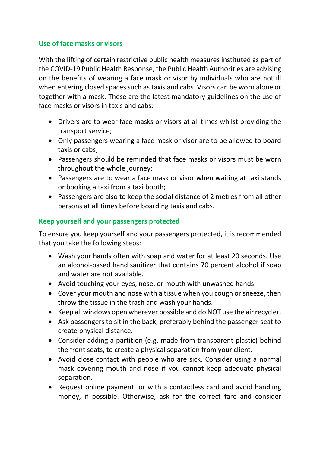## **Use of face masks or visors**

With the lifting of certain restrictive public health measures instituted as part of the COVID-19 Public Health Response, the Public Health Authorities are advising on the benefits of wearing a face mask or visor by individuals who are not ill when entering closed spaces such as taxis and cabs. Visors can be worn alone or together with a mask. These are the latest mandatory guidelines on the use of face masks or visors in taxis and cabs:

- Drivers are to wear face masks or visors at all times whilst providing the transport service;
- Only passengers wearing a face mask or visor are to be allowed to board taxis or cabs;
- Passengers should be reminded that face masks or visors must be worn throughout the whole journey;
- Passengers are to wear a face mask or visor when waiting at taxi stands or booking a taxi from a taxi booth;
- Passengers are also to keep the social distance of 2 metres from all other persons at all times before boarding taxis and cabs.

# **Keep yourself and your passengers protected**

To ensure you keep yourself and your passengers protected, it is recommended that you take the following steps:

- Wash your hands often with soap and water for at least 20 seconds. Use an alcohol-based hand sanitizer that contains 70 percent alcohol if soap and water are not available.
- Avoid touching your eyes, nose, or mouth with unwashed hands.
- Cover your mouth and nose with a tissue when you cough or sneeze, then throw the tissue in the trash and wash your hands.
- Keep all windows open wherever possible and do NOT use the air recycler.
- Ask passengers to sit in the back, preferably behind the passenger seat to create physical distance.
- Consider adding a partition (e.g. made from transparent plastic) behind the front seats, to create a physical separation from your client.
- Avoid close contact with people who are sick. Consider using a normal mask covering mouth and nose if you cannot keep adequate physical separation.
- Request online payment or with a contactless card and avoid handling money, if possible. Otherwise, ask for the correct fare and consider